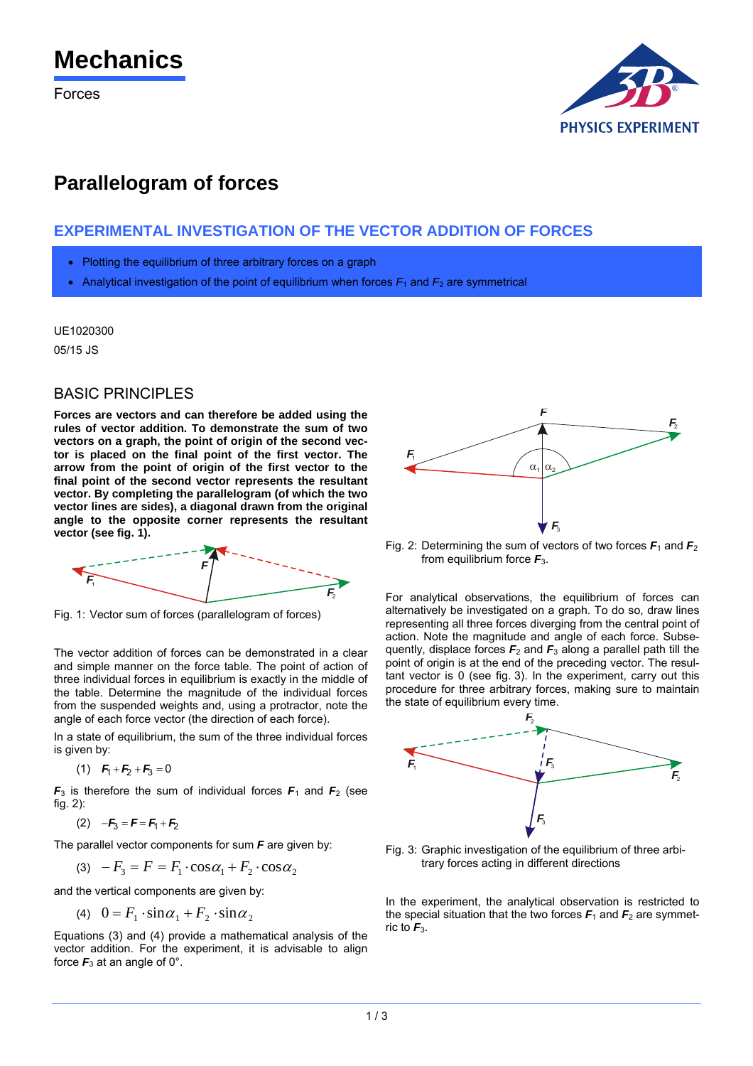# **Mechanics**

Forces



# **Parallelogram of forces**

# **EXPERIMENTAL INVESTIGATION OF THE VECTOR ADDITION OF FORCES**

- Plotting the equilibrium of three arbitrary forces on a graph
- Analytical investigation of the point of equilibrium when forces  $F_1$  and  $F_2$  are symmetrical

UE1020300

05/15 JS

## BASIC PRINCIPLES

**Forces are vectors and can therefore be added using the rules of vector addition. To demonstrate the sum of two vectors on a graph, the point of origin of the second vector is placed on the final point of the first vector. The arrow from the point of origin of the first vector to the final point of the second vector represents the resultant vector. By completing the parallelogram (of which the two vector lines are sides), a diagonal drawn from the original angle to the opposite corner represents the resultant vector (see fig. 1).** 



Fig. 1: Vector sum of forces (parallelogram of forces)

The vector addition of forces can be demonstrated in a clear and simple manner on the force table. The point of action of three individual forces in equilibrium is exactly in the middle of the table. Determine the magnitude of the individual forces from the suspended weights and, using a protractor, note the angle of each force vector (the direction of each force).

In a state of equilibrium, the sum of the three individual forces is given by:

(1) 
$$
F_1 + F_2 + F_3 = 0
$$

 $F_3$  is therefore the sum of individual forces  $F_1$  and  $F_2$  (see fig. 2):

(2) 
$$
-F_3 = F = F_1 + F_2
$$

The parallel vector components for sum *F* are given by:

$$
(3) \quad -F_3 = F = F_1 \cdot \cos \alpha_1 + F_2 \cdot \cos \alpha_2
$$

and the vertical components are given by:

$$
(4) \quad 0 = F_1 \cdot \sin \alpha_1 + F_2 \cdot \sin \alpha_2
$$

Equations (3) and (4) provide a mathematical analysis of the vector addition. For the experiment, it is advisable to align force  $F_3$  at an angle of 0°.



Fig. 2: Determining the sum of vectors of two forces  $F_1$  and  $F_2$ from equilibrium force *F*3.

For analytical observations, the equilibrium of forces can alternatively be investigated on a graph. To do so, draw lines representing all three forces diverging from the central point of action. Note the magnitude and angle of each force. Subsequently, displace forces  $F_2$  and  $F_3$  along a parallel path till the point of origin is at the end of the preceding vector. The resultant vector is 0 (see fig. 3). In the experiment, carry out this procedure for three arbitrary forces, making sure to maintain the state of equilibrium every time.



Fig. 3: Graphic investigation of the equilibrium of three arbitrary forces acting in different directions

In the experiment, the analytical observation is restricted to the special situation that the two forces  $F_1$  and  $F_2$  are symmetric to *F*3.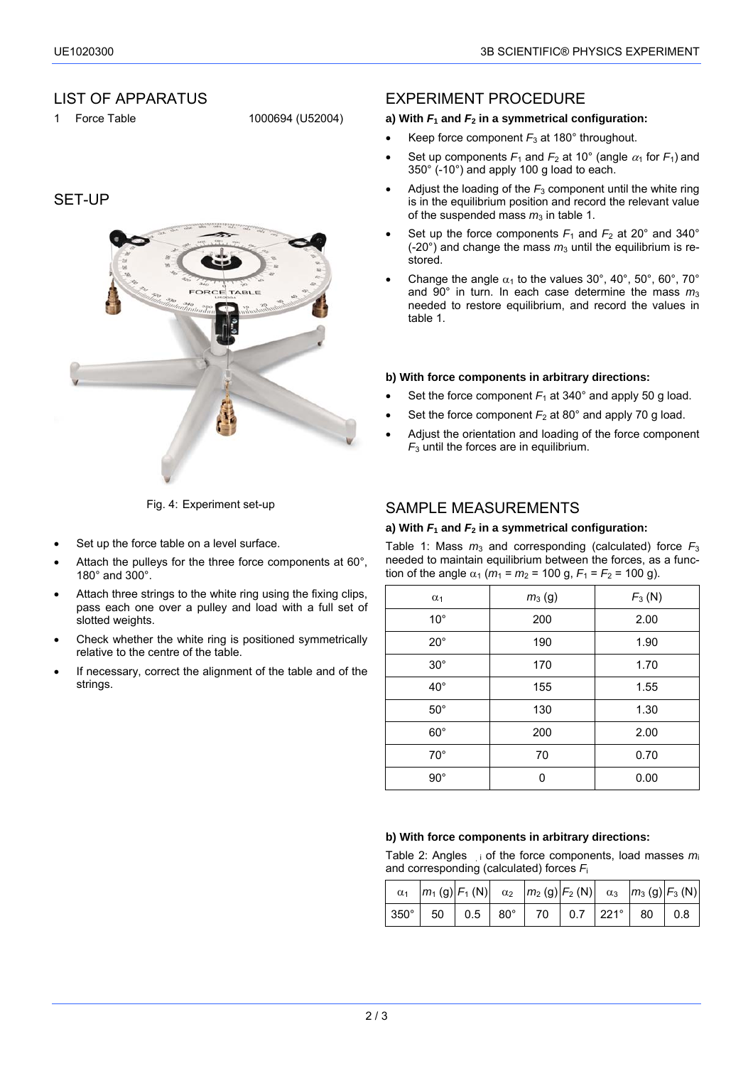# LIST OF APPARATUS

1 Force Table 1000694 (U52004)

# SET-UP



Fig. 4: Experiment set-up

- Set up the force table on a level surface.
- Attach the pulleys for the three force components at 60°, 180° and 300°.
- Attach three strings to the white ring using the fixing clips. pass each one over a pulley and load with a full set of slotted weights.
- Check whether the white ring is positioned symmetrically relative to the centre of the table.
- If necessary, correct the alignment of the table and of the strings.

## EXPERIMENT PROCEDURE

#### **a) With** *F***1 and** *F***2 in a symmetrical configuration:**

- Keep force component *F*3 at 180° throughout.
- Set up components  $F_1$  and  $F_2$  at 10° (angle  $\alpha_1$  for  $F_1$ ) and 350° (-10°) and apply 100 g load to each.
- Adjust the loading of the  $F_3$  component until the white ring is in the equilibrium position and record the relevant value of the suspended mass  $m_3$  in table 1.
- Set up the force components  $F_1$  and  $F_2$  at 20° and 340°  $(-20^{\circ})$  and change the mass  $m_3$  until the equilibrium is restored.
- Change the angle  $\alpha_1$  to the values 30°, 40°, 50°, 60°, 70° and 90° in turn. In each case determine the mass  $m_3$ needed to restore equilibrium, and record the values in table 1.

#### **b) With force components in arbitrary directions:**

- Set the force component  $F_1$  at 340 $^{\circ}$  and apply 50 g load.
- Set the force component  $F_2$  at 80 $^{\circ}$  and apply 70 g load.
- Adjust the orientation and loading of the force component *F*3 until the forces are in equilibrium.

# SAMPLE MEASUREMENTS

#### **a) With** *F***1 and** *F***2 in a symmetrical configuration:**

Table 1: Mass  $m_3$  and corresponding (calculated) force  $F_3$ needed to maintain equilibrium between the forces, as a function of the angle  $\alpha_1$  ( $m_1 = m_2 = 100$  g,  $F_1 = F_2 = 100$  g).

| $\alpha_1$   | $F_3(N)$<br>$m_3$ (g) |      |  |  |
|--------------|-----------------------|------|--|--|
| $10^{\circ}$ | 2.00<br>200           |      |  |  |
| $20^{\circ}$ | 190<br>1.90           |      |  |  |
| $30^\circ$   | 170                   | 1.70 |  |  |
| $40^{\circ}$ | 155                   | 1.55 |  |  |
| $50^\circ$   | 130                   | 1.30 |  |  |
| $60^{\circ}$ | 200                   | 2.00 |  |  |
| $70^{\circ}$ | 70                    | 0.70 |  |  |
| $90^\circ$   | ŋ                     | 0.00 |  |  |

#### **b) With force components in arbitrary directions:**

Table 2: Angles i of the force components, load masses *m*<sup>i</sup> and corresponding (calculated) forces *F*<sup>i</sup>

|                                                                    | $\alpha_1$  m <sub>1</sub> (g)   F <sub>1</sub> (N)   $\alpha_2$  m <sub>2</sub> (g)   F <sub>2</sub> (N)   $\alpha_3$  m <sub>3</sub> (g)   F <sub>3</sub> (N) |  |  |  |  |
|--------------------------------------------------------------------|-----------------------------------------------------------------------------------------------------------------------------------------------------------------|--|--|--|--|
| $ 350^{\circ} $ 50 $ 0.5 80^{\circ} $ 70 $ 0.7 221^{\circ} 80 0.8$ |                                                                                                                                                                 |  |  |  |  |